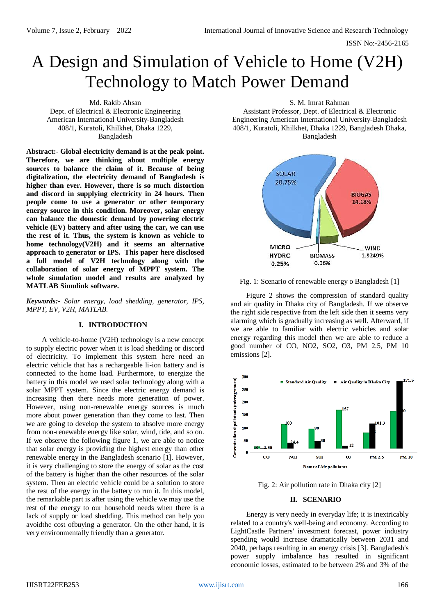# A Design and Simulation of Vehicle to Home (V2H) Technology to Match Power Demand

Md. Rakib Ahsan Dept. of Electrical & Electronic Engineering American International University-Bangladesh 408/1, Kuratoli, Khilkhet, Dhaka 1229, Bangladesh

**Abstract:- Global electricity demand is at the peak point. Therefore, we are thinking about multiple energy sources to balance the claim of it. Because of being digitalization, the electricity demand of Bangladesh is higher than ever. However, there is so much distortion and discord in supplying electricity in 24 hours. Then people come to use a generator or other temporary energy source in this condition. Moreover, solar energy can balance the domestic demand by powering electric vehicle (EV) battery and after using the car, we can use the rest of it. Thus, the system is known as vehicle to home technology(V2H) and it seems an alternative approach to generator or IPS. This paper here disclosed a full model of V2H technology along with the collaboration of solar energy of MPPT system. The whole simulation model and results are analyzed by MATLAB Simulink software.**

*Keywords:- Solar energy, load shedding, generator, IPS, MPPT, EV, V2H, MATLAB.*

#### **I. INTRODUCTION**

A vehicle-to-home (V2H) technology is a new concept to supply electric power when it is load shedding or discord of electricity. To implement this system here need an electric vehicle that has a rechargeable li-ion battery and is connected to the home load. Furthermore, to energize the battery in this model we used solar technology along with a solar MPPT system. Since the electric energy demand is increasing then there needs more generation of power. However, using non-renewable energy sources is much more about power generation than they come to last. Then we are going to develop the system to absolve more energy from non-renewable energy like solar, wind, tide, and so on. If we observe the following figure 1, we are able to notice that solar energy is providing the highest energy than other renewable energy in the Bangladesh scenario [1]. However, it is very challenging to store the energy of solar as the cost of the battery is higher than the other resources of the solar system. Then an electric vehicle could be a solution to store the rest of the energy in the battery to run it. In this model, the remarkable part is after using the vehicle we may use the rest of the energy to our household needs when there is a lack of supply or load shedding. This method can help you avoidthe cost ofbuying a generator. On the other hand, it is very environmentally friendly than a generator.

S. M. Imrat Rahman

Assistant Professor, Dept. of Electrical & Electronic Engineering American International University-Bangladesh 408/1, Kuratoli, Khilkhet, Dhaka 1229, Bangladesh Dhaka, Bangladesh



Fig. 1: Scenario of renewable energy o Bangladesh [1]

Figure 2 shows the compression of standard quality and air quality in Dhaka city of Bangladesh. If we observe the right side respective from the left side then it seems very alarming which is gradually increasing as well. Afterward, if we are able to familiar with electric vehicles and solar energy regarding this model then we are able to reduce a good number of CO, NO2, SO2, O3, PM 2.5, PM 10 emissions [2].



Fig. 2: Air pollution rate in Dhaka city [2]

## **II. SCENARIO**

Energy is very needy in everyday life; it is inextricably related to a country's well-being and economy. According to LightCastle Partners' investment forecast, power industry spending would increase dramatically between 2031 and 2040, perhaps resulting in an energy crisis [3]. Bangladesh's power supply imbalance has resulted in significant economic losses, estimated to be between 2% and 3% of the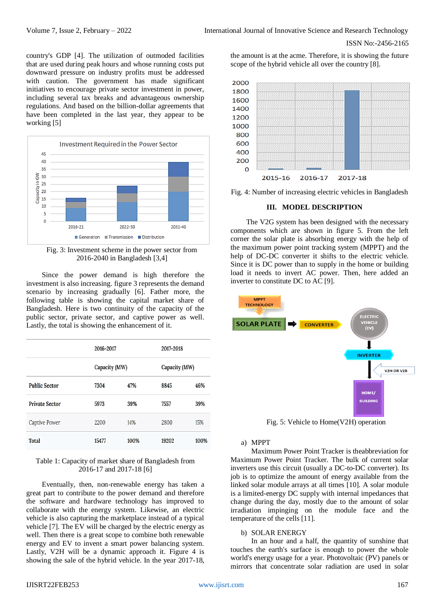country's GDP [4]. The utilization of outmoded facilities that are used during peak hours and whose running costs put downward pressure on industry profits must be addressed with caution. The government has made significant initiatives to encourage private sector investment in power, including several tax breaks and advantageous ownership regulations. And based on the billion-dollar agreements that have been completed in the last year, they appear to be working [5]



Fig. 3: Investment scheme in the power sector from 2016-2040 in Bangladesh [3,4]

Since the power demand is high therefore the investment is also increasing. figure 3 represents the demand scenario by increasing gradually [6]. Father more, the following table is showing the capital market share of Bangladesh. Here is two continuity of the capacity of the public sector, private sector, and captive power as well. Lastly, the total is showing the enhancement of it.

|                       | 2016-2017<br>Capacity (MW) |      | 2017-2018<br>Capacity (MW) |      |
|-----------------------|----------------------------|------|----------------------------|------|
|                       |                            |      |                            |      |
| <b>Public Sector</b>  | 7304                       | 47%  | 8845                       | 46%  |
| <b>Private Sector</b> | 5973                       | 39%  | 7557                       | 39%  |
| <b>Captive Power</b>  | 2200                       | 14%  | 2800                       | 15%  |
| <b>Total</b>          | 15477                      | 100% | 19202                      | 100% |

## Table 1: Capacity of market share of Bangladesh from 2016-17 and 2017-18 [6]

Eventually, then, non-renewable energy has taken a great part to contribute to the power demand and therefore the software and hardware technology has improved to collaborate with the energy system. Likewise, an electric vehicle is also capturing the marketplace instead of a typical vehicle [7]. The EV will be charged by the electric energy as well. Then there is a great scope to combine both renewable energy and EV to invent a smart power balancing system. Lastly, V2H will be a dynamic approach it. Figure 4 is showing the sale of the hybrid vehicle. In the year 2017-18, the amount is at the acme. Therefore, it is showing the future scope of the hybrid vehicle all over the country [8].



Fig. 4: Number of increasing electric vehicles in Bangladesh

#### **III. MODEL DESCRIPTION**

The V2G system has been designed with the necessary components which are shown in figure 5. From the left corner the solar plate is absorbing energy with the help of the maximum power point tracking system (MPPT) and the help of DC-DC converter it shifts to the electric vehicle. Since it is DC power than to supply in the home or building load it needs to invert AC power. Then, here added an inverter to constitute DC to AC [9].



Fig. 5: Vehicle to Home(V2H) operation

#### a) MPPT

Maximum Power Point Tracker is theabbreviation for Maximum Power Point Tracker. The bulk of current solar inverters use this circuit (usually a DC-to-DC converter). Its job is to optimize the amount of energy available from the linked solar module arrays at all times [10]. A solar module is a limited-energy DC supply with internal impedances that change during the day, mostly due to the amount of solar irradiation impinging on the module face and the temperature of the cells [11].

#### b) SOLAR ENERGY

In an hour and a half, the quantity of sunshine that touches the earth's surface is enough to power the whole world's energy usage for a year. Photovoltaic (PV) panels or mirrors that concentrate solar radiation are used in solar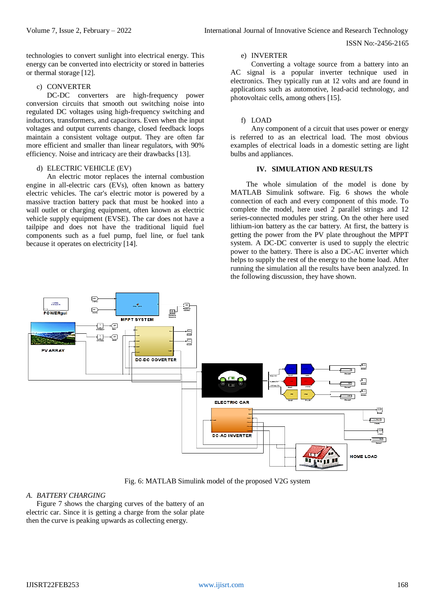technologies to convert sunlight into electrical energy. This energy can be converted into electricity or stored in batteries or thermal storage [12].

#### c) CONVERTER

DC-DC converters are high-frequency power conversion circuits that smooth out switching noise into regulated DC voltages using high-frequency switching and inductors, transformers, and capacitors. Even when the input voltages and output currents change, closed feedback loops maintain a consistent voltage output. They are often far more efficient and smaller than linear regulators, with 90% efficiency. Noise and intricacy are their drawbacks [13].

#### d) ELECTRIC VEHICLE (EV)

An electric motor replaces the internal combustion engine in all-electric cars (EVs), often known as battery electric vehicles. The car's electric motor is powered by a massive traction battery pack that must be hooked into a wall outlet or charging equipment, often known as electric vehicle supply equipment (EVSE). The car does not have a tailpipe and does not have the traditional liquid fuel components such as a fuel pump, fuel line, or fuel tank because it operates on electricity [14].

### e) INVERTER

Converting a voltage source from a battery into an AC signal is a popular inverter technique used in electronics. They typically run at 12 volts and are found in applications such as automotive, lead-acid technology, and photovoltaic cells, among others [15].

#### f) LOAD

Any component of a circuit that uses power or energy is referred to as an electrical load. The most obvious examples of electrical loads in a domestic setting are light bulbs and appliances.

#### **IV. SIMULATION AND RESULTS**

The whole simulation of the model is done by MATLAB Simulink software. Fig. 6 shows the whole connection of each and every component of this mode. To complete the model, here used 2 parallel strings and 12 series-connected modules per string. On the other here used lithium-ion battery as the car battery. At first, the battery is getting the power from the PV plate throughout the MPPT system. A DC-DC converter is used to supply the electric power to the battery. There is also a DC-AC inverter which helps to supply the rest of the energy to the home load. After running the simulation all the results have been analyzed. In the following discussion, they have shown.



Fig. 6: MATLAB Simulink model of the proposed V2G system

## *A. BATTERY CHARGING*

Figure 7 shows the charging curves of the battery of an electric car. Since it is getting a charge from the solar plate then the curve is peaking upwards as collecting energy.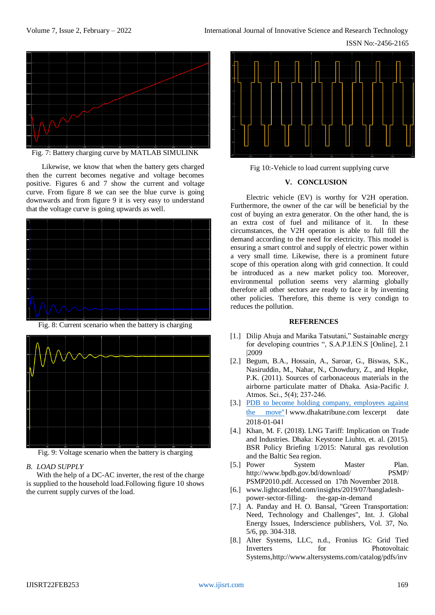ISSN No:-2456-2165



Fig. 7: Battery charging curve by MATLAB SIMULINK

Likewise, we know that when the battery gets charged then the current becomes negative and voltage becomes positive. Figures 6 and 7 show the current and voltage curve. From figure 8 we can see the blue curve is going downwards and from figure 9 it is very easy to understand that the voltage curve is going upwards as well.







Fig. 9: Voltage scenario when the battery is charging

### *B. LOAD SUPPLY*

With the help of a DC-AC inverter, the rest of the charge is supplied to the household load.Following figure 10 shows the current supply curves of the load.



Fig 10:-Vehicle to load current supplying curve

#### **V. CONCLUSION**

Electric vehicle (EV) is worthy for V2H operation. Furthermore, the owner of the car will be beneficial by the cost of buying an extra generator. On the other hand, the is an extra cost of fuel and militance of it. In these circumstances, the V2H operation is able to full fill the demand according to the need for electricity. This model is ensuring a smart control and supply of electric power within a very small time. Likewise, there is a prominent future scope of this operation along with grid connection. It could be introduced as a new market policy too. Moreover, environmental pollution seems very alarming globally therefore all other sectors are ready to face it by inventing other policies. Therefore, this theme is very condign to reduces the pollution.

#### **REFERENCES**

- [1.] Dilip Ahuja and Marika Tatsutani," Sustainable energy for developing countries ", S.A.P.I.EN.S [Online], 2.1 |2009
- [2.] Begum, B.A., Hossain, A., Saroar, G., Biswas, S.K., Nasiruddin, M., Nahar, N., Chowdury, Z., and Hopke, P.K. (2011). Sources of carbonaceous materials in the airborne particulate matter of Dhaka. Asia-Pacific J. Atmos. Sci., 5(4); 237‐246.
- [3.] PDB to become holding company, employees against the move" I www.dhakatribune.com lexcerpt date 2018-01-04।
- [4.] Khan, M. F. (2018). LNG Tariff: Implication on Trade and Industries. Dhaka: Keystone Liuhto, et. al. (2015). BSR Policy Briefing 1/2015: Natural gas revolution and the Baltic Sea region.
- [5.] Power System Master Plan. <http://www.bpdb.gov.bd/download/>PSMP/ PSMP2010.pdf. Accessed on 17th November 2018.
- [6.] [www.lightcastlebd.com/insights/2019/07/bangladesh](http://www.lightcastlebd.com/insights/2019/07/bangladesh-power-sector-filling-%20%20%20%20%20the-gap-in-demand)[power-sector-filling- the-gap-in-demand](http://www.lightcastlebd.com/insights/2019/07/bangladesh-power-sector-filling-%20%20%20%20%20the-gap-in-demand)
- [7.] A. Panday and H. O. Bansal, "Green Transportation: Need, Technology and Challenges", Int. J. Global Energy Issues, Inderscience publishers, Vol. 37, No. 5/6, pp. 304-318.
- [8.] Alter Systems, LLC, n.d., Fronius IG: Grid Tied Inverters for Photovoltaic Systems[,http://www.altersystems.com/catalog/pdfs/inv](http://www.altersystems.com/catalog/pdfs/inverters/fronius/brochure_ig_2000_3000_2500lv_012008)